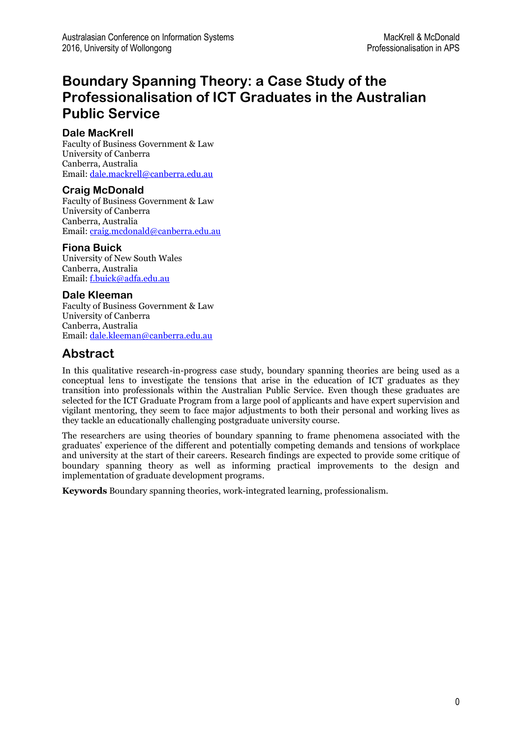# **Boundary Spanning Theory: a Case Study of the Professionalisation of ICT Graduates in the Australian Public Service**

### **Dale MacKrell**

Faculty of Business Government & Law University of Canberra Canberra, Australia Email[: dale.mackrell@canberra.edu.au](mailto:dale.mackrell@canberra.edu.au)

### **Craig McDonald**

Faculty of Business Government & Law University of Canberra Canberra, Australia Email[: craig.mcdonald@canberra.edu.au](mailto:craig.mcdonald@canberra.edu.au) 

### **Fiona Buick**

University of New South Wales Canberra, Australia Email[: f.buick@adfa.edu.au](mailto:f.buick@adfa.edu.au)

### **Dale Kleeman**

Faculty of Business Government & Law University of Canberra Canberra, Australia Email[: dale.kleeman@canberra.edu.au](mailto:dale.kleeman@canberra.edu.au) 

### **Abstract**

In this qualitative research-in-progress case study, boundary spanning theories are being used as a conceptual lens to investigate the tensions that arise in the education of ICT graduates as they transition into professionals within the Australian Public Service. Even though these graduates are selected for the ICT Graduate Program from a large pool of applicants and have expert supervision and vigilant mentoring, they seem to face major adjustments to both their personal and working lives as they tackle an educationally challenging postgraduate university course.

The researchers are using theories of boundary spanning to frame phenomena associated with the graduates' experience of the different and potentially competing demands and tensions of workplace and university at the start of their careers. Research findings are expected to provide some critique of boundary spanning theory as well as informing practical improvements to the design and implementation of graduate development programs.

**Keywords** Boundary spanning theories, work-integrated learning, professionalism.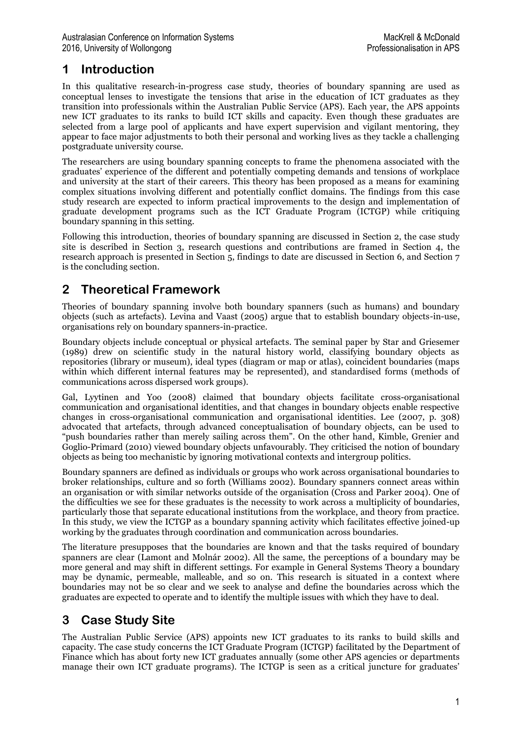## **1 Introduction**

In this qualitative research-in-progress case study, theories of boundary spanning are used as conceptual lenses to investigate the tensions that arise in the education of ICT graduates as they transition into professionals within the Australian Public Service (APS). Each year, the APS appoints new ICT graduates to its ranks to build ICT skills and capacity. Even though these graduates are selected from a large pool of applicants and have expert supervision and vigilant mentoring, they appear to face major adjustments to both their personal and working lives as they tackle a challenging postgraduate university course.

The researchers are using boundary spanning concepts to frame the phenomena associated with the graduates' experience of the different and potentially competing demands and tensions of workplace and university at the start of their careers. This theory has been proposed as a means for examining complex situations involving different and potentially conflict domains. The findings from this case study research are expected to inform practical improvements to the design and implementation of graduate development programs such as the ICT Graduate Program (ICTGP) while critiquing boundary spanning in this setting.

Following this introduction, theories of boundary spanning are discussed in Section 2, the case study site is described in Section 3, research questions and contributions are framed in Section 4, the research approach is presented in Section 5, findings to date are discussed in Section 6, and Section 7 is the concluding section.

## **2 Theoretical Framework**

Theories of boundary spanning involve both boundary spanners (such as humans) and boundary objects (such as artefacts). Levina and Vaast (2005) argue that to establish boundary objects-in-use, organisations rely on boundary spanners-in-practice.

Boundary objects include conceptual or physical artefacts. The seminal paper by Star and Griesemer (1989) drew on scientific study in the natural history world, classifying boundary objects as repositories (library or museum), ideal types (diagram or map or atlas), coincident boundaries (maps within which different internal features may be represented), and standardised forms (methods of communications across dispersed work groups).

Gal, Lyytinen and Yoo (2008) claimed that boundary objects facilitate cross-organisational communication and organisational identities, and that changes in boundary objects enable respective changes in cross-organisational communication and organisational identities. Lee (2007, p. 308) advocated that artefacts, through advanced conceptualisation of boundary objects, can be used to "push boundaries rather than merely sailing across them". On the other hand, Kimble, Grenier and Goglio-Primard (2010) viewed boundary objects unfavourably. They criticised the notion of boundary objects as being too mechanistic by ignoring motivational contexts and intergroup politics.

Boundary spanners are defined as individuals or groups who work across organisational boundaries to broker relationships, culture and so forth (Williams 2002). Boundary spanners connect areas within an organisation or with similar networks outside of the organisation (Cross and Parker 2004). One of the difficulties we see for these graduates is the necessity to work across a multiplicity of boundaries, particularly those that separate educational institutions from the workplace, and theory from practice. In this study, we view the ICTGP as a boundary spanning activity which facilitates effective joined-up working by the graduates through coordination and communication across boundaries.

The literature presupposes that the boundaries are known and that the tasks required of boundary spanners are clear (Lamont and Molnár 2002). All the same, the perceptions of a boundary may be more general and may shift in different settings. For example in General Systems Theory a boundary may be dynamic, permeable, malleable, and so on. This research is situated in a context where boundaries may not be so clear and we seek to analyse and define the boundaries across which the graduates are expected to operate and to identify the multiple issues with which they have to deal.

## **3 Case Study Site**

The Australian Public Service (APS) appoints new ICT graduates to its ranks to build skills and capacity. The case study concerns the ICT Graduate Program (ICTGP) facilitated by the Department of Finance which has about forty new ICT graduates annually (some other APS agencies or departments manage their own ICT graduate programs). The ICTGP is seen as a critical juncture for graduates'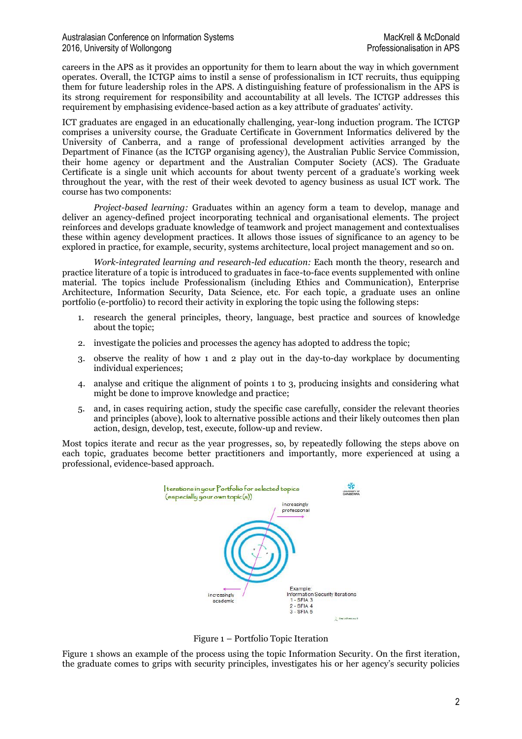careers in the APS as it provides an opportunity for them to learn about the way in which government operates. Overall, the ICTGP aims to instil a sense of professionalism in ICT recruits, thus equipping them for future leadership roles in the APS. A distinguishing feature of professionalism in the APS is its strong requirement for responsibility and accountability at all levels. The ICTGP addresses this requirement by emphasising evidence-based action as a key attribute of graduates' activity.

ICT graduates are engaged in an educationally challenging, year-long induction program. The ICTGP comprises a university course, the Graduate Certificate in Government Informatics delivered by the University of Canberra, and a range of professional development activities arranged by the Department of Finance (as the ICTGP organising agency), the Australian Public Service Commission, their home agency or department and the Australian Computer Society (ACS). The Graduate Certificate is a single unit which accounts for about twenty percent of a graduate's working week throughout the year, with the rest of their week devoted to agency business as usual ICT work. The course has two components:

*Project-based learning:* Graduates within an agency form a team to develop, manage and deliver an agency-defined project incorporating technical and organisational elements. The project reinforces and develops graduate knowledge of teamwork and project management and contextualises these within agency development practices. It allows those issues of significance to an agency to be explored in practice, for example, security, systems architecture, local project management and so on.

*Work-integrated learning and research-led education:* Each month the theory, research and practice literature of a topic is introduced to graduates in face-to-face events supplemented with online material. The topics include Professionalism (including Ethics and Communication), Enterprise Architecture, Information Security, Data Science, etc. For each topic, a graduate uses an online portfolio (e-portfolio) to record their activity in exploring the topic using the following steps:

- 1. research the general principles, theory, language, best practice and sources of knowledge about the topic;
- 2. investigate the policies and processes the agency has adopted to address the topic;
- 3. observe the reality of how 1 and 2 play out in the day-to-day workplace by documenting individual experiences;
- 4. analyse and critique the alignment of points 1 to 3, producing insights and considering what might be done to improve knowledge and practice;
- 5. and, in cases requiring action, study the specific case carefully, consider the relevant theories and principles (above), look to alternative possible actions and their likely outcomes then plan action, design, develop, test, execute, follow-up and review.

Most topics iterate and recur as the year progresses, so, by repeatedly following the steps above on each topic, graduates become better practitioners and importantly, more experienced at using a professional, evidence-based approach.



Figure 1 – Portfolio Topic Iteration

Figure 1 shows an example of the process using the topic Information Security. On the first iteration, the graduate comes to grips with security principles, investigates his or her agency's security policies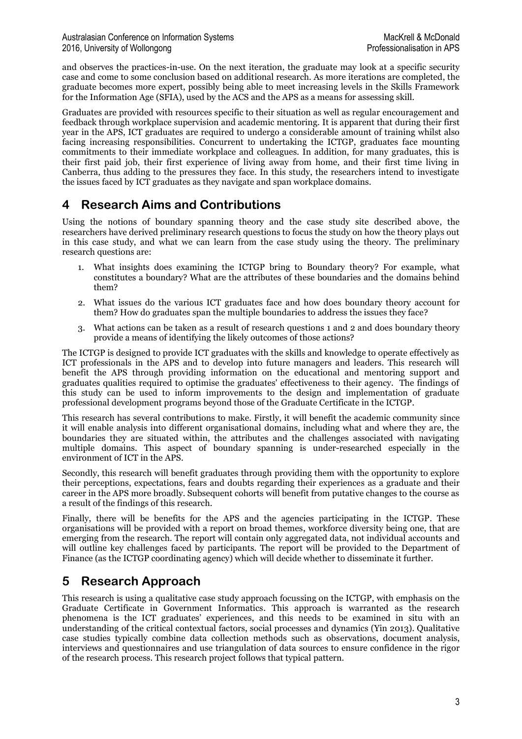and observes the practices-in-use. On the next iteration, the graduate may look at a specific security case and come to some conclusion based on additional research. As more iterations are completed, the graduate becomes more expert, possibly being able to meet increasing levels in the Skills Framework for the Information Age (SFIA), used by the ACS and the APS as a means for assessing skill.

Graduates are provided with resources specific to their situation as well as regular encouragement and feedback through workplace supervision and academic mentoring. It is apparent that during their first year in the APS, ICT graduates are required to undergo a considerable amount of training whilst also facing increasing responsibilities. Concurrent to undertaking the ICTGP, graduates face mounting commitments to their immediate workplace and colleagues. In addition, for many graduates, this is their first paid job, their first experience of living away from home, and their first time living in Canberra, thus adding to the pressures they face. In this study, the researchers intend to investigate the issues faced by ICT graduates as they navigate and span workplace domains.

### **4 Research Aims and Contributions**

Using the notions of boundary spanning theory and the case study site described above, the researchers have derived preliminary research questions to focus the study on how the theory plays out in this case study, and what we can learn from the case study using the theory. The preliminary research questions are:

- 1. What insights does examining the ICTGP bring to Boundary theory? For example, what constitutes a boundary? What are the attributes of these boundaries and the domains behind them?
- 2. What issues do the various ICT graduates face and how does boundary theory account for them? How do graduates span the multiple boundaries to address the issues they face?
- 3. What actions can be taken as a result of research questions 1 and 2 and does boundary theory provide a means of identifying the likely outcomes of those actions?

The ICTGP is designed to provide ICT graduates with the skills and knowledge to operate effectively as ICT professionals in the APS and to develop into future managers and leaders. This research will benefit the APS through providing information on the educational and mentoring support and graduates qualities required to optimise the graduates' effectiveness to their agency. The findings of this study can be used to inform improvements to the design and implementation of graduate professional development programs beyond those of the Graduate Certificate in the ICTGP.

This research has several contributions to make. Firstly, it will benefit the academic community since it will enable analysis into different organisational domains, including what and where they are, the boundaries they are situated within, the attributes and the challenges associated with navigating multiple domains. This aspect of boundary spanning is under-researched especially in the environment of ICT in the APS.

Secondly, this research will benefit graduates through providing them with the opportunity to explore their perceptions, expectations, fears and doubts regarding their experiences as a graduate and their career in the APS more broadly. Subsequent cohorts will benefit from putative changes to the course as a result of the findings of this research.

Finally, there will be benefits for the APS and the agencies participating in the ICTGP. These organisations will be provided with a report on broad themes, workforce diversity being one, that are emerging from the research. The report will contain only aggregated data, not individual accounts and will outline key challenges faced by participants. The report will be provided to the Department of Finance (as the ICTGP coordinating agency) which will decide whether to disseminate it further.

## **5 Research Approach**

This research is using a qualitative case study approach focussing on the ICTGP, with emphasis on the Graduate Certificate in Government Informatics. This approach is warranted as the research phenomena is the ICT graduates' experiences, and this needs to be examined in situ with an understanding of the critical contextual factors, social processes and dynamics (Yin 2013). Qualitative case studies typically combine data collection methods such as observations, document analysis, interviews and questionnaires and use triangulation of data sources to ensure confidence in the rigor of the research process. This research project follows that typical pattern.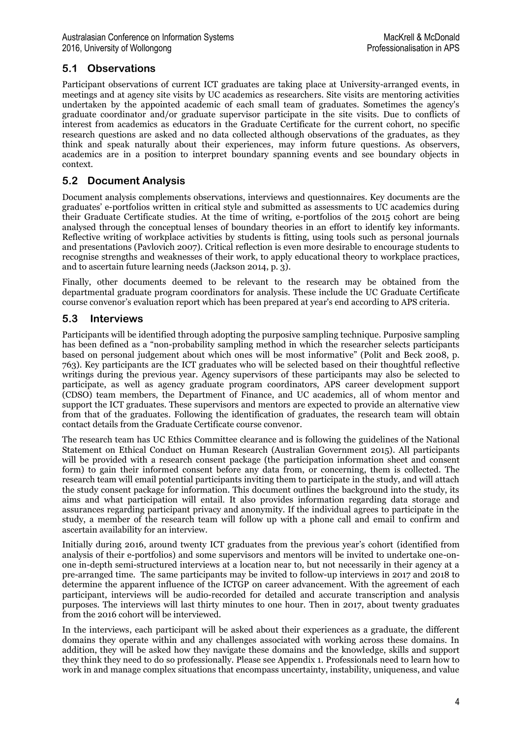### **5.1 Observations**

Participant observations of current ICT graduates are taking place at University-arranged events, in meetings and at agency site visits by UC academics as researchers. Site visits are mentoring activities undertaken by the appointed academic of each small team of graduates. Sometimes the agency's graduate coordinator and/or graduate supervisor participate in the site visits. Due to conflicts of interest from academics as educators in the Graduate Certificate for the current cohort, no specific research questions are asked and no data collected although observations of the graduates, as they think and speak naturally about their experiences, may inform future questions. As observers, academics are in a position to interpret boundary spanning events and see boundary objects in context.

### **5.2 Document Analysis**

Document analysis complements observations, interviews and questionnaires. Key documents are the graduates' e-portfolios written in critical style and submitted as assessments to UC academics during their Graduate Certificate studies. At the time of writing, e-portfolios of the 2015 cohort are being analysed through the conceptual lenses of boundary theories in an effort to identify key informants. Reflective writing of workplace activities by students is fitting, using tools such as personal journals and presentations (Pavlovich 2007). Critical reflection is even more desirable to encourage students to recognise strengths and weaknesses of their work, to apply educational theory to workplace practices, and to ascertain future learning needs (Jackson 2014, p. 3).

Finally, other documents deemed to be relevant to the research may be obtained from the departmental graduate program coordinators for analysis. These include the UC Graduate Certificate course convenor's evaluation report which has been prepared at year's end according to APS criteria.

#### **5.3 Interviews**

Participants will be identified through adopting the purposive sampling technique. Purposive sampling has been defined as a "non-probability sampling method in which the researcher selects participants based on personal judgement about which ones will be most informative" (Polit and Beck 2008, p. 763). Key participants are the ICT graduates who will be selected based on their thoughtful reflective writings during the previous year. Agency supervisors of these participants may also be selected to participate, as well as agency graduate program coordinators, APS career development support (CDSO) team members, the Department of Finance, and UC academics, all of whom mentor and support the ICT graduates. These supervisors and mentors are expected to provide an alternative view from that of the graduates. Following the identification of graduates, the research team will obtain contact details from the Graduate Certificate course convenor.

The research team has UC Ethics Committee clearance and is following the guidelines of the National Statement on Ethical Conduct on Human Research (Australian Government 2015). All participants will be provided with a research consent package (the participation information sheet and consent form) to gain their informed consent before any data from, or concerning, them is collected. The research team will email potential participants inviting them to participate in the study, and will attach the study consent package for information. This document outlines the background into the study, its aims and what participation will entail. It also provides information regarding data storage and assurances regarding participant privacy and anonymity. If the individual agrees to participate in the study, a member of the research team will follow up with a phone call and email to confirm and ascertain availability for an interview.

Initially during 2016, around twenty ICT graduates from the previous year's cohort (identified from analysis of their e-portfolios) and some supervisors and mentors will be invited to undertake one-onone in-depth semi-structured interviews at a location near to, but not necessarily in their agency at a pre-arranged time. The same participants may be invited to follow-up interviews in 2017 and 2018 to determine the apparent influence of the ICTGP on career advancement. With the agreement of each participant, interviews will be audio-recorded for detailed and accurate transcription and analysis purposes. The interviews will last thirty minutes to one hour. Then in 2017, about twenty graduates from the 2016 cohort will be interviewed.

In the interviews, each participant will be asked about their experiences as a graduate, the different domains they operate within and any challenges associated with working across these domains. In addition, they will be asked how they navigate these domains and the knowledge, skills and support they think they need to do so professionally. Please see Appendix 1. Professionals need to learn how to work in and manage complex situations that encompass uncertainty, instability, uniqueness, and value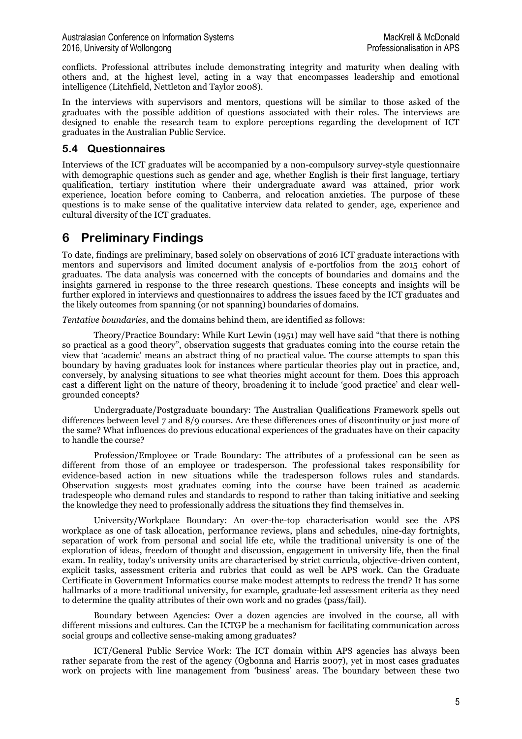conflicts. Professional attributes include demonstrating integrity and maturity when dealing with others and, at the highest level, acting in a way that encompasses leadership and emotional intelligence (Litchfield, Nettleton and Taylor 2008).

In the interviews with supervisors and mentors, questions will be similar to those asked of the graduates with the possible addition of questions associated with their roles. The interviews are designed to enable the research team to explore perceptions regarding the development of ICT graduates in the Australian Public Service.

### **5.4 Questionnaires**

Interviews of the ICT graduates will be accompanied by a non-compulsory survey-style questionnaire with demographic questions such as gender and age, whether English is their first language, tertiary qualification, tertiary institution where their undergraduate award was attained, prior work experience, location before coming to Canberra, and relocation anxieties. The purpose of these questions is to make sense of the qualitative interview data related to gender, age, experience and cultural diversity of the ICT graduates.

## **6 Preliminary Findings**

To date, findings are preliminary, based solely on observations of 2016 ICT graduate interactions with mentors and supervisors and limited document analysis of e-portfolios from the 2015 cohort of graduates. The data analysis was concerned with the concepts of boundaries and domains and the insights garnered in response to the three research questions. These concepts and insights will be further explored in interviews and questionnaires to address the issues faced by the ICT graduates and the likely outcomes from spanning (or not spanning) boundaries of domains.

*Tentative boundaries*, and the domains behind them, are identified as follows:

Theory/Practice Boundary: While Kurt Lewin (1951) may well have said "that there is nothing so practical as a good theory", observation suggests that graduates coming into the course retain the view that 'academic' means an abstract thing of no practical value. The course attempts to span this boundary by having graduates look for instances where particular theories play out in practice, and, conversely, by analysing situations to see what theories might account for them. Does this approach cast a different light on the nature of theory, broadening it to include 'good practice' and clear wellgrounded concepts?

Undergraduate/Postgraduate boundary: The Australian Qualifications Framework spells out differences between level 7 and 8/9 courses. Are these differences ones of discontinuity or just more of the same? What influences do previous educational experiences of the graduates have on their capacity to handle the course?

Profession/Employee or Trade Boundary: The attributes of a professional can be seen as different from those of an employee or tradesperson. The professional takes responsibility for evidence-based action in new situations while the tradesperson follows rules and standards. Observation suggests most graduates coming into the course have been trained as academic tradespeople who demand rules and standards to respond to rather than taking initiative and seeking the knowledge they need to professionally address the situations they find themselves in.

University/Workplace Boundary: An over-the-top characterisation would see the APS workplace as one of task allocation, performance reviews, plans and schedules, nine-day fortnights, separation of work from personal and social life etc, while the traditional university is one of the exploration of ideas, freedom of thought and discussion, engagement in university life, then the final exam. In reality, today's university units are characterised by strict curricula, objective-driven content, explicit tasks, assessment criteria and rubrics that could as well be APS work. Can the Graduate Certificate in Government Informatics course make modest attempts to redress the trend? It has some hallmarks of a more traditional university, for example, graduate-led assessment criteria as they need to determine the quality attributes of their own work and no grades (pass/fail).

Boundary between Agencies: Over a dozen agencies are involved in the course, all with different missions and cultures. Can the ICTGP be a mechanism for facilitating communication across social groups and collective sense-making among graduates?

ICT/General Public Service Work: The ICT domain within APS agencies has always been rather separate from the rest of the agency (Ogbonna and Harris 2007), yet in most cases graduates work on projects with line management from 'business' areas. The boundary between these two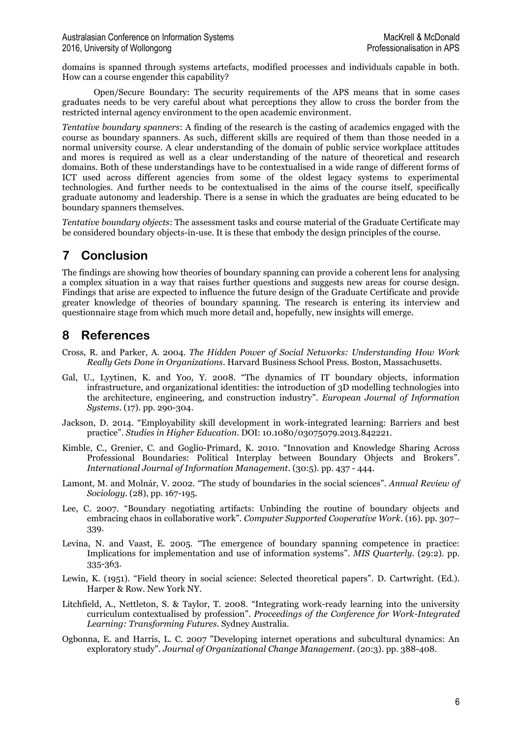domains is spanned through systems artefacts, modified processes and individuals capable in both. How can a course engender this capability?

Open/Secure Boundary: The security requirements of the APS means that in some cases graduates needs to be very careful about what perceptions they allow to cross the border from the restricted internal agency environment to the open academic environment.

*Tentative boundary spanners*: A finding of the research is the casting of academics engaged with the course as boundary spanners. As such, different skills are required of them than those needed in a normal university course. A clear understanding of the domain of public service workplace attitudes and mores is required as well as a clear understanding of the nature of theoretical and research domains. Both of these understandings have to be contextualised in a wide range of different forms of ICT used across different agencies from some of the oldest legacy systems to experimental technologies. And further needs to be contextualised in the aims of the course itself, specifically graduate autonomy and leadership. There is a sense in which the graduates are being educated to be boundary spanners themselves.

*Tentative boundary objects*: The assessment tasks and course material of the Graduate Certificate may be considered boundary objects-in-use. It is these that embody the design principles of the course.

## **7 Conclusion**

The findings are showing how theories of boundary spanning can provide a coherent lens for analysing a complex situation in a way that raises further questions and suggests new areas for course design. Findings that arise are expected to influence the future design of the Graduate Certificate and provide greater knowledge of theories of boundary spanning. The research is entering its interview and questionnaire stage from which much more detail and, hopefully, new insights will emerge.

## **8 References**

- Cross, R. and Parker, A. 2004. *The Hidden Power of Social Networks: Understanding How Work Really Gets Done in Organizations*. Harvard Business School Press. Boston, Massachusetts.
- Gal, U., Lyytinen, K. and Yoo, Y. 2008. "The dynamics of IT boundary objects, information infrastructure, and organizational identities: the introduction of 3D modelling technologies into the architecture, engineering, and construction industry". *European Journal of Information Systems*. (17). pp. 290-304.
- Jackson, D. 2014. "Employability skill development in work-integrated learning: Barriers and best practice". *Studies in Higher Education*. DOI: 10.1080/03075079.2013.842221.
- Kimble, C., Grenier, C. and Goglio-Primard, K. 2010. "Innovation and Knowledge Sharing Across Professional Boundaries: Political Interplay between Boundary Objects and Brokers". *International Journal of Information Management.* (30:5). pp. 437 - 444.
- Lamont, M. and Molnár, V. 2002. "The study of boundaries in the social sciences". *Annual Review of Sociology*. (28), pp. 167-195.
- Lee, C. 2007. "Boundary negotiating artifacts: Unbinding the routine of boundary objects and embracing chaos in collaborative work". *Computer Supported Cooperative Work*. (16). pp. 307– 339.
- Levina, N. and Vaast, E. 2005. "The emergence of boundary spanning competence in practice: Implications for implementation and use of information systems". *MIS Quarterly.* (29:2). pp. 335-363.
- Lewin, K. (1951). "Field theory in social science: Selected theoretical papers". D. Cartwright. (Ed.). Harper & Row. New York NY.
- Litchfield, A., Nettleton, S. & Taylor, T. 2008. "Integrating work-ready learning into the university curriculum contextualised by profession". *Proceedings of the Conference for Work-Integrated Learning: Transforming Futures*. Sydney Australia.
- Ogbonna, E. and Harris, L. C. 2007 "Developing internet operations and subcultural dynamics: An exploratory study". *Journal of Organizational Change Management*. (20:3). pp. 388-408.